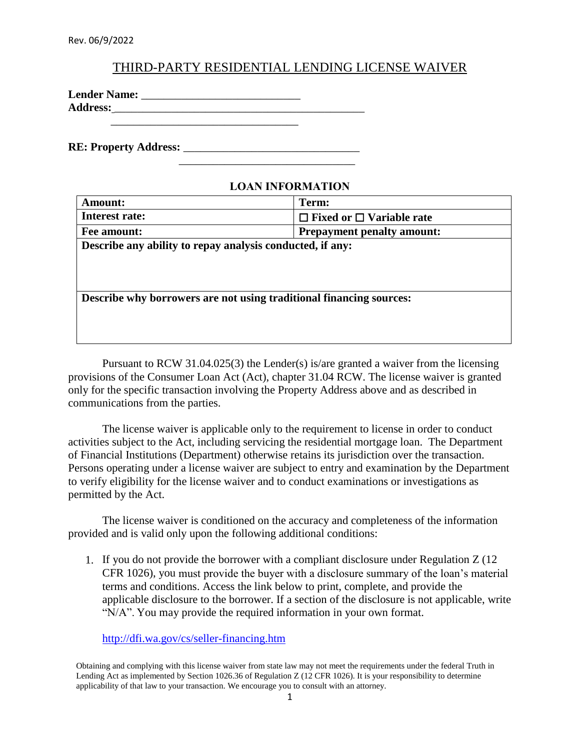## THIRD-PARTY RESIDENTIAL LENDING LICENSE WAIVER

| <b>Lender Name:</b> |  |
|---------------------|--|
| <b>Address:</b>     |  |
|                     |  |

 $\frac{1}{2}$  ,  $\frac{1}{2}$  ,  $\frac{1}{2}$  ,  $\frac{1}{2}$  ,  $\frac{1}{2}$  ,  $\frac{1}{2}$  ,  $\frac{1}{2}$  ,  $\frac{1}{2}$  ,  $\frac{1}{2}$  ,  $\frac{1}{2}$  ,  $\frac{1}{2}$  ,  $\frac{1}{2}$  ,  $\frac{1}{2}$  ,  $\frac{1}{2}$  ,  $\frac{1}{2}$  ,  $\frac{1}{2}$  ,  $\frac{1}{2}$  ,  $\frac{1}{2}$  ,  $\frac{1$ 

**RE: Property Address:** 

## **LOAN INFORMATION**

| <b>Amount:</b>                                                      | Term:                                |  |  |  |  |
|---------------------------------------------------------------------|--------------------------------------|--|--|--|--|
| Interest rate:                                                      | $\Box$ Fixed or $\Box$ Variable rate |  |  |  |  |
| Fee amount:                                                         | <b>Prepayment penalty amount:</b>    |  |  |  |  |
| Describe any ability to repay analysis conducted, if any:           |                                      |  |  |  |  |
|                                                                     |                                      |  |  |  |  |
|                                                                     |                                      |  |  |  |  |
|                                                                     |                                      |  |  |  |  |
| Describe why borrowers are not using traditional financing sources: |                                      |  |  |  |  |
|                                                                     |                                      |  |  |  |  |
|                                                                     |                                      |  |  |  |  |
|                                                                     |                                      |  |  |  |  |

Pursuant to RCW 31.04.025(3) the Lender(s) is/are granted a waiver from the licensing provisions of the Consumer Loan Act (Act), chapter 31.04 RCW. The license waiver is granted only for the specific transaction involving the Property Address above and as described in communications from the parties.

The license waiver is applicable only to the requirement to license in order to conduct activities subject to the Act, including servicing the residential mortgage loan. The Department of Financial Institutions (Department) otherwise retains its jurisdiction over the transaction. Persons operating under a license waiver are subject to entry and examination by the Department to verify eligibility for the license waiver and to conduct examinations or investigations as permitted by the Act.

The license waiver is conditioned on the accuracy and completeness of the information provided and is valid only upon the following additional conditions:

1. If you do not provide the borrower with a compliant disclosure under Regulation Z (12 CFR 1026), you must provide the buyer with a disclosure summary of the loan's material terms and conditions. Access the link below to print, complete, and provide the applicable disclosure to the borrower. If a section of the disclosure is not applicable, write "N/A". You may provide the required information in your own format.

<http://dfi.wa.gov/cs/seller-financing.htm>

Obtaining and complying with this license waiver from state law may not meet the requirements under the federal Truth in Lending Act as implemented by Section 1026.36 of Regulation Z (12 CFR 1026). It is your responsibility to determine applicability of that law to your transaction. We encourage you to consult with an attorney.